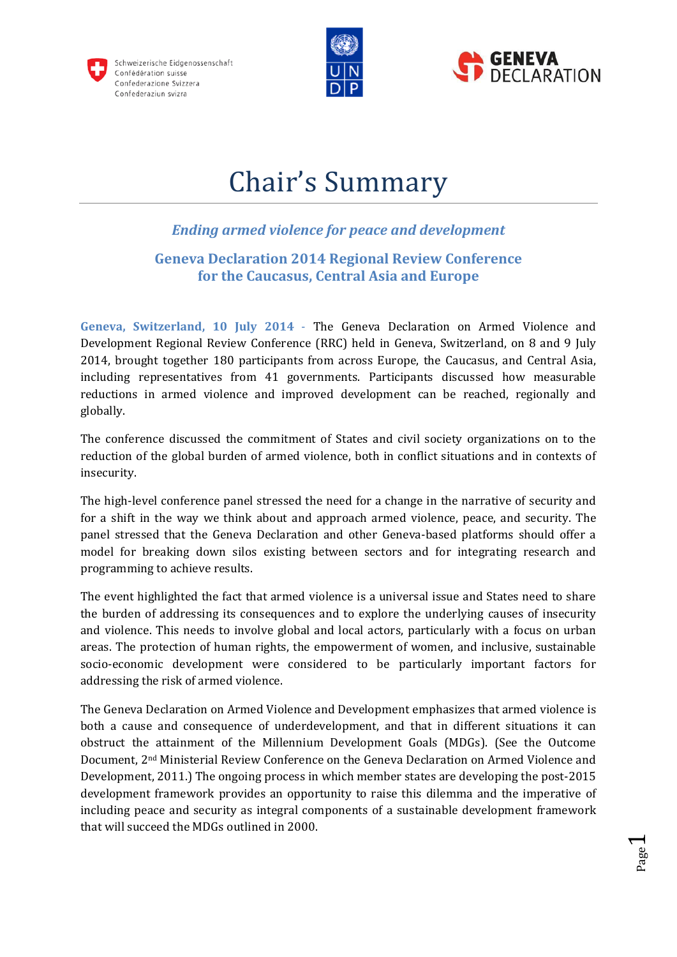





Page  $\overline{\phantom{0}}$ 

# Chair's Summary

# *Ending armed violence for peace and development*

# **Geneva Declaration 2014 Regional Review Conference for the Caucasus, Central Asia and Europe**

**Geneva, Switzerland, 10 July 2014** - The Geneva Declaration on Armed Violence and Development Regional Review Conference (RRC) held in Geneva, Switzerland, on 8 and 9 July 2014, brought together 180 participants from across Europe, the Caucasus, and Central Asia, including representatives from 41 governments. Participants discussed how measurable reductions in armed violence and improved development can be reached, regionally and globally.

The conference discussed the commitment of States and civil society organizations on to the reduction of the global burden of armed violence, both in conflict situations and in contexts of insecurity.

The high-level conference panel stressed the need for a change in the narrative of security and for a shift in the way we think about and approach armed violence, peace, and security. The panel stressed that the Geneva Declaration and other Geneva-based platforms should offer a model for breaking down silos existing between sectors and for integrating research and programming to achieve results.

The event highlighted the fact that armed violence is a universal issue and States need to share the burden of addressing its consequences and to explore the underlying causes of insecurity and violence. This needs to involve global and local actors, particularly with a focus on urban areas. The protection of human rights, the empowerment of women, and inclusive, sustainable socio-economic development were considered to be particularly important factors for addressing the risk of armed violence.

The Geneva Declaration on Armed Violence and Development emphasizes that armed violence is both a cause and consequence of underdevelopment, and that in different situations it can obstruct the attainment of the Millennium Development Goals (MDGs). (See the Outcome Document, 2nd Ministerial Review Conference on the Geneva Declaration on Armed Violence and Development, 2011.) The ongoing process in which member states are developing the post-2015 development framework provides an opportunity to raise this dilemma and the imperative of including peace and security as integral components of a sustainable development framework that will succeed the MDGs outlined in 2000.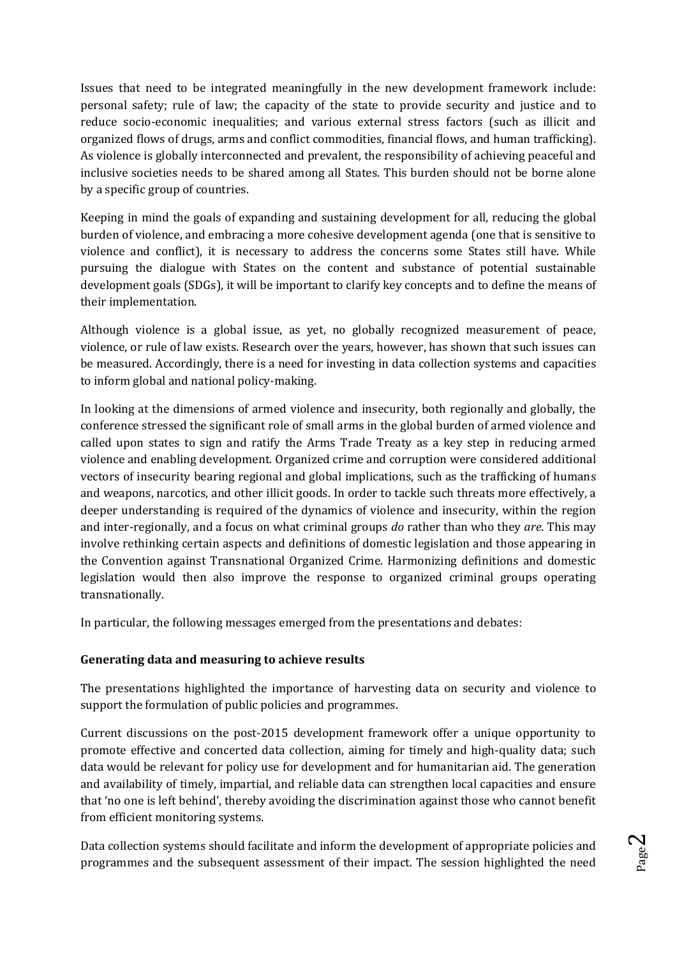Issues that need to be integrated meaningfully in the new development framework include: personal safety; rule of law; the capacity of the state to provide security and justice and to reduce socio-economic inequalities; and various external stress factors (such as illicit and organized flows of drugs, arms and conflict commodities, financial flows, and human trafficking). As violence is globally interconnected and prevalent, the responsibility of achieving peaceful and inclusive societies needs to be shared among all States. This burden should not be borne alone by a specific group of countries.

Keeping in mind the goals of expanding and sustaining development for all, reducing the global burden of violence, and embracing a more cohesive development agenda (one that is sensitive to violence and conflict), it is necessary to address the concerns some States still have. While pursuing the dialogue with States on the content and substance of potential sustainable development goals (SDGs), it will be important to clarify key concepts and to define the means of their implementation.

Although violence is a global issue, as yet, no globally recognized measurement of peace, violence, or rule of law exists. Research over the years, however, has shown that such issues can be measured. Accordingly, there is a need for investing in data collection systems and capacities to inform global and national policy-making.

In looking at the dimensions of armed violence and insecurity, both regionally and globally, the conference stressed the significant role of small arms in the global burden of armed violence and called upon states to sign and ratify the Arms Trade Treaty as a key step in reducing armed violence and enabling development. Organized crime and corruption were considered additional vectors of insecurity bearing regional and global implications, such as the trafficking of humans and weapons, narcotics, and other illicit goods. In order to tackle such threats more effectively, a deeper understanding is required of the dynamics of violence and insecurity, within the region and inter-regionally, and a focus on what criminal groups *do* rather than who they *are*. This may involve rethinking certain aspects and definitions of domestic legislation and those appearing in the Convention against Transnational Organized Crime. Harmonizing definitions and domestic legislation would then also improve the response to organized criminal groups operating transnationally.

In particular, the following messages emerged from the presentations and debates:

# **Generating data and measuring to achieve results**

The presentations highlighted the importance of harvesting data on security and violence to support the formulation of public policies and programmes.

Current discussions on the post-2015 development framework offer a unique opportunity to promote effective and concerted data collection, aiming for timely and high-quality data; such data would be relevant for policy use for development and for humanitarian aid. The generation and availability of timely, impartial, and reliable data can strengthen local capacities and ensure that 'no one is left behind', thereby avoiding the discrimination against those who cannot benefit from efficient monitoring systems.

Data collection systems should facilitate and inform the development of appropriate policies and programmes and the subsequent assessment of their impact. The session highlighted the need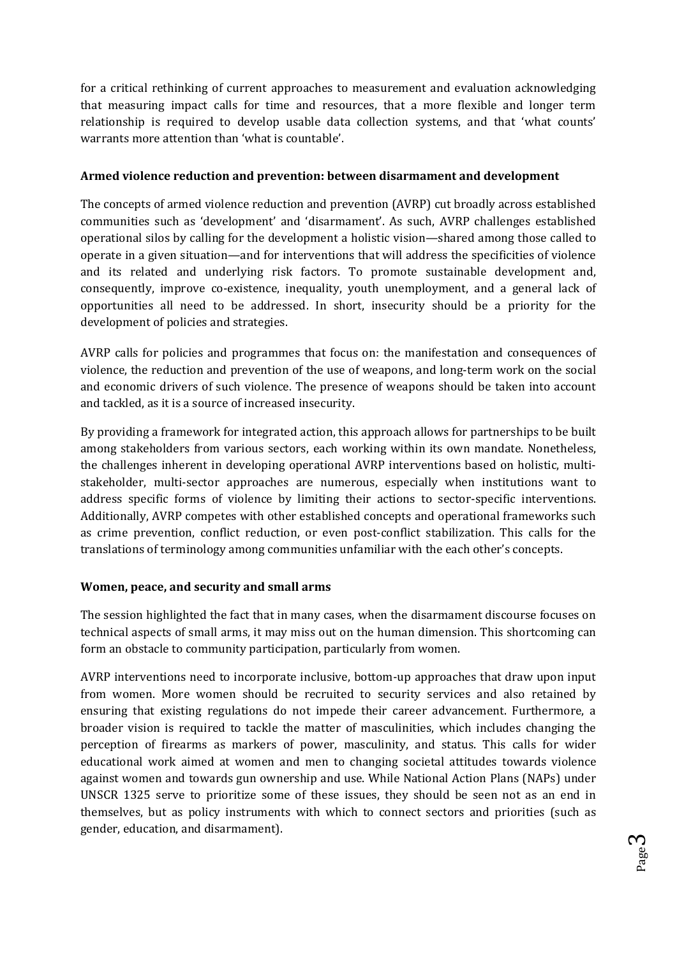for a critical rethinking of current approaches to measurement and evaluation acknowledging that measuring impact calls for time and resources, that a more flexible and longer term relationship is required to develop usable data collection systems, and that 'what counts' warrants more attention than 'what is countable'.

# **Armed violence reduction and prevention: between disarmament and development**

The concepts of armed violence reduction and prevention (AVRP) cut broadly across established communities such as 'development' and 'disarmament'. As such, AVRP challenges established operational silos by calling for the development a holistic vision—shared among those called to operate in a given situation—and for interventions that will address the specificities of violence and its related and underlying risk factors. To promote sustainable development and, consequently, improve co-existence, inequality, youth unemployment, and a general lack of opportunities all need to be addressed. In short, insecurity should be a priority for the development of policies and strategies.

AVRP calls for policies and programmes that focus on: the manifestation and consequences of violence, the reduction and prevention of the use of weapons, and long-term work on the social and economic drivers of such violence. The presence of weapons should be taken into account and tackled, as it is a source of increased insecurity.

By providing a framework for integrated action, this approach allows for partnerships to be built among stakeholders from various sectors, each working within its own mandate. Nonetheless, the challenges inherent in developing operational AVRP interventions based on holistic, multistakeholder, multi-sector approaches are numerous, especially when institutions want to address specific forms of violence by limiting their actions to sector-specific interventions. Additionally, AVRP competes with other established concepts and operational frameworks such as crime prevention, conflict reduction, or even post-conflict stabilization. This calls for the translations of terminology among communities unfamiliar with the each other's concepts.

# **Women, peace, and security and small arms**

The session highlighted the fact that in many cases, when the disarmament discourse focuses on technical aspects of small arms, it may miss out on the human dimension. This shortcoming can form an obstacle to community participation, particularly from women.

AVRP interventions need to incorporate inclusive, bottom-up approaches that draw upon input from women. More women should be recruited to security services and also retained by ensuring that existing regulations do not impede their career advancement. Furthermore, a broader vision is required to tackle the matter of masculinities, which includes changing the perception of firearms as markers of power, masculinity, and status. This calls for wider educational work aimed at women and men to changing societal attitudes towards violence against women and towards gun ownership and use. While National Action Plans (NAPs) under UNSCR 1325 serve to prioritize some of these issues, they should be seen not as an end in themselves, but as policy instruments with which to connect sectors and priorities (such as gender, education, and disarmament).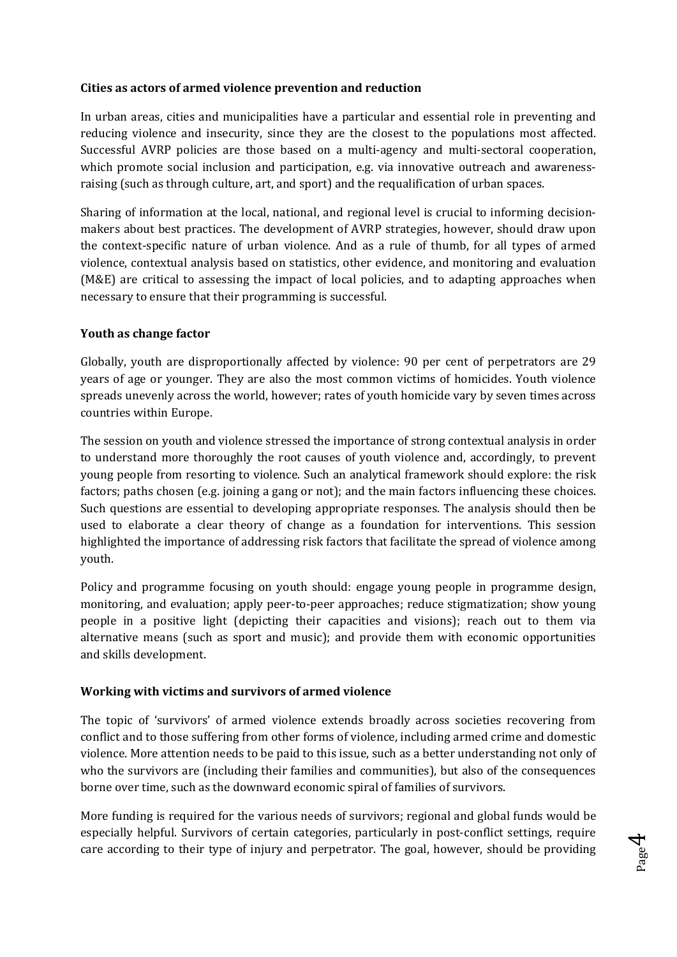# **Cities as actors of armed violence prevention and reduction**

In urban areas, cities and municipalities have a particular and essential role in preventing and reducing violence and insecurity, since they are the closest to the populations most affected. Successful AVRP policies are those based on a multi-agency and multi-sectoral cooperation, which promote social inclusion and participation, e.g. via innovative outreach and awarenessraising (such as through culture, art, and sport) and the requalification of urban spaces.

Sharing of information at the local, national, and regional level is crucial to informing decisionmakers about best practices. The development of AVRP strategies, however, should draw upon the context-specific nature of urban violence. And as a rule of thumb, for all types of armed violence, contextual analysis based on statistics, other evidence, and monitoring and evaluation (M&E) are critical to assessing the impact of local policies, and to adapting approaches when necessary to ensure that their programming is successful.

#### **Youth as change factor**

Globally, youth are disproportionally affected by violence: 90 per cent of perpetrators are 29 years of age or younger. They are also the most common victims of homicides. Youth violence spreads unevenly across the world, however; rates of youth homicide vary by seven times across countries within Europe.

The session on youth and violence stressed the importance of strong contextual analysis in order to understand more thoroughly the root causes of youth violence and, accordingly, to prevent young people from resorting to violence. Such an analytical framework should explore: the risk factors; paths chosen (e.g. joining a gang or not); and the main factors influencing these choices. Such questions are essential to developing appropriate responses. The analysis should then be used to elaborate a clear theory of change as a foundation for interventions. This session highlighted the importance of addressing risk factors that facilitate the spread of violence among youth.

Policy and programme focusing on youth should: engage young people in programme design, monitoring, and evaluation; apply peer-to-peer approaches; reduce stigmatization; show young people in a positive light (depicting their capacities and visions); reach out to them via alternative means (such as sport and music); and provide them with economic opportunities and skills development.

#### **Working with victims and survivors of armed violence**

The topic of 'survivors' of armed violence extends broadly across societies recovering from conflict and to those suffering from other forms of violence, including armed crime and domestic violence. More attention needs to be paid to this issue, such as a better understanding not only of who the survivors are (including their families and communities), but also of the consequences borne over time, such as the downward economic spiral of families of survivors.

More funding is required for the various needs of survivors; regional and global funds would be especially helpful. Survivors of certain categories, particularly in post-conflict settings, require care according to their type of injury and perpetrator. The goal, however, should be providing

Page  $\overline{\mathcal{A}}$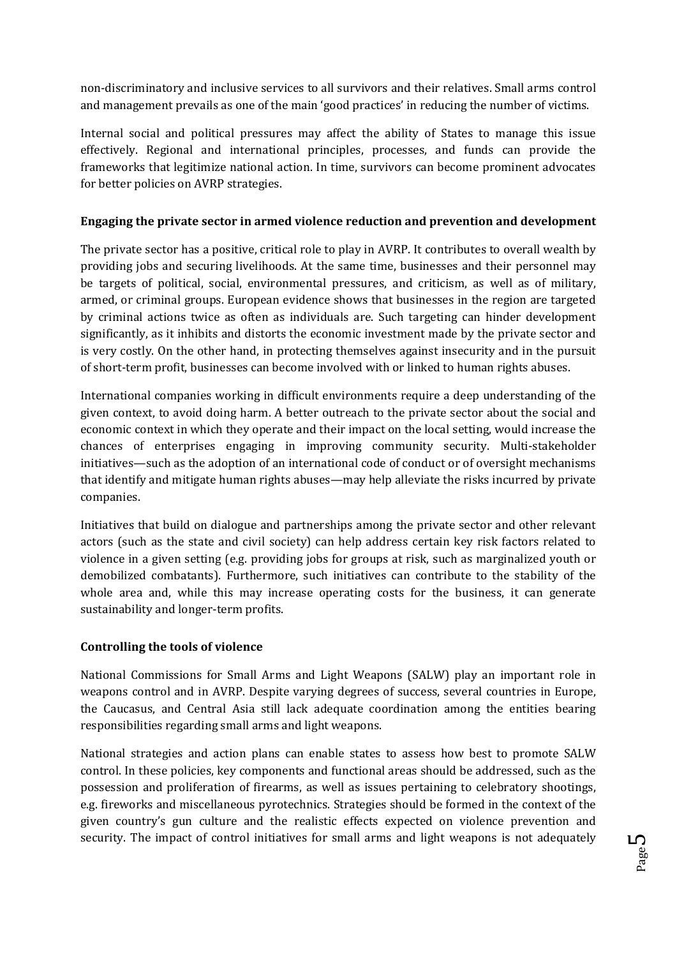non-discriminatory and inclusive services to all survivors and their relatives. Small arms control and management prevails as one of the main 'good practices' in reducing the number of victims.

Internal social and political pressures may affect the ability of States to manage this issue effectively. Regional and international principles, processes, and funds can provide the frameworks that legitimize national action. In time, survivors can become prominent advocates for better policies on AVRP strategies.

# **Engaging the private sector in armed violence reduction and prevention and development**

The private sector has a positive, critical role to play in AVRP. It contributes to overall wealth by providing jobs and securing livelihoods. At the same time, businesses and their personnel may be targets of political, social, environmental pressures, and criticism, as well as of military, armed, or criminal groups. European evidence shows that businesses in the region are targeted by criminal actions twice as often as individuals are. Such targeting can hinder development significantly, as it inhibits and distorts the economic investment made by the private sector and is very costly. On the other hand, in protecting themselves against insecurity and in the pursuit of short-term profit, businesses can become involved with or linked to human rights abuses.

International companies working in difficult environments require a deep understanding of the given context, to avoid doing harm. A better outreach to the private sector about the social and economic context in which they operate and their impact on the local setting, would increase the chances of enterprises engaging in improving community security. Multi-stakeholder initiatives—such as the adoption of an international code of conduct or of oversight mechanisms that identify and mitigate human rights abuses—may help alleviate the risks incurred by private companies.

Initiatives that build on dialogue and partnerships among the private sector and other relevant actors (such as the state and civil society) can help address certain key risk factors related to violence in a given setting (e.g. providing jobs for groups at risk, such as marginalized youth or demobilized combatants). Furthermore, such initiatives can contribute to the stability of the whole area and, while this may increase operating costs for the business, it can generate sustainability and longer-term profits.

# **Controlling the tools of violence**

National Commissions for Small Arms and Light Weapons (SALW) play an important role in weapons control and in AVRP. Despite varying degrees of success, several countries in Europe, the Caucasus, and Central Asia still lack adequate coordination among the entities bearing responsibilities regarding small arms and light weapons.

National strategies and action plans can enable states to assess how best to promote SALW control. In these policies, key components and functional areas should be addressed, such as the possession and proliferation of firearms, as well as issues pertaining to celebratory shootings, e.g. fireworks and miscellaneous pyrotechnics. Strategies should be formed in the context of the given country's gun culture and the realistic effects expected on violence prevention and security. The impact of control initiatives for small arms and light weapons is not adequately